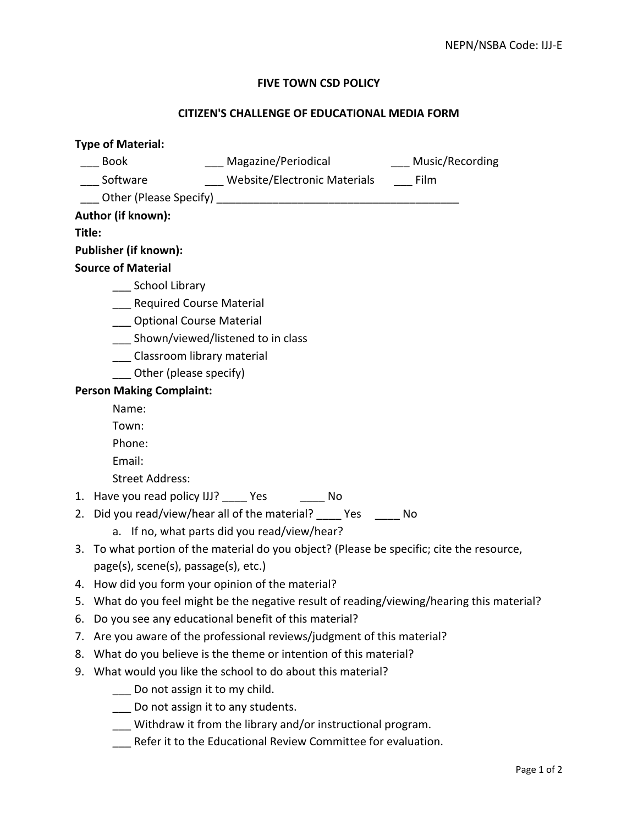## **FIVE TOWN CSD POLICY**

## **CITIZEN'S CHALLENGE OF EDUCATIONAL MEDIA FORM**

| <b>Type of Material:</b>        |                                                                                           |
|---------------------------------|-------------------------------------------------------------------------------------------|
|                                 | ___ Magazine/Periodical ________ Music/Recording<br><b>Book</b>                           |
|                                 | Website/Electronic Materials Film<br>Software                                             |
|                                 |                                                                                           |
| Author (if known):              |                                                                                           |
| Title:                          |                                                                                           |
| <b>Publisher (if known):</b>    |                                                                                           |
| <b>Source of Material</b>       |                                                                                           |
|                                 | ____ School Library                                                                       |
|                                 | <b>Required Course Material</b>                                                           |
|                                 | <b>Optional Course Material</b>                                                           |
|                                 | ___ Shown/viewed/listened to in class                                                     |
|                                 | Classroom library material                                                                |
| Other (please specify)          |                                                                                           |
| <b>Person Making Complaint:</b> |                                                                                           |
|                                 | Name:                                                                                     |
|                                 | Town:                                                                                     |
|                                 | Phone:                                                                                    |
|                                 | Email:                                                                                    |
|                                 | <b>Street Address:</b>                                                                    |
|                                 | 1. Have you read policy IJJ? _____ Yes ________ No                                        |
|                                 | 2. Did you read/view/hear all of the material? _____ Yes ______ No                        |
|                                 | a. If no, what parts did you read/view/hear?                                              |
|                                 | 3. To what portion of the material do you object? (Please be specific; cite the resource, |
|                                 | page(s), scene(s), passage(s), etc.)                                                      |
|                                 | 4. How did you form your opinion of the material?                                         |
|                                 | What do you feel might be the negative result of reading/viewing/hearing this material?   |
| 6.                              | Do you see any educational benefit of this material?                                      |
| 7.                              | Are you aware of the professional reviews/judgment of this material?                      |
| 8.                              | What do you believe is the theme or intention of this material?                           |
| 9.                              | What would you like the school to do about this material?                                 |
|                                 | Do not assign it to my child.                                                             |
|                                 | Do not assign it to any students.                                                         |

- \_\_\_ Withdraw it from the library and/or instructional program.
- \_\_\_ Refer it to the Educational Review Committee for evaluation.